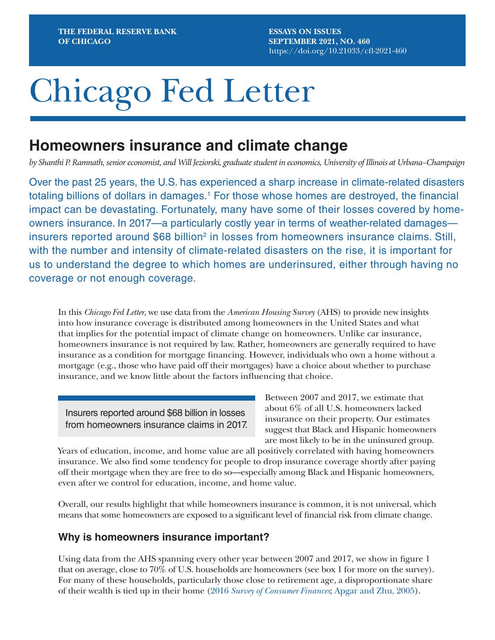**ESSAYS ON ISSUES SEPTEMBER 2021, NO. 460** https://doi.org/10.21033/cfl-2021-460

# Chicago Fed Letter

## **Homeowners insurance and climate change**

*by Shanthi P. Ramnath, senior economist, and Will Jeziorski, graduate student in economics, University of Illinois at Urbana–Champaign*

Over the past 25 years, the U.S. has experienced a sharp increase in climate-related disasters totaling billions of dollars in damages.<sup>1</sup> For those whose homes are destroyed, the financial impact can be devastating. Fortunately, many have some of their losses covered by homeowners insurance. In 2017—a particularly costly year in terms of weather-related damages insurers reported around  $$68$  billion<sup>2</sup> in losses from homeowners insurance claims. Still, with the number and intensity of climate-related disasters on the rise, it is important for us to understand the degree to which homes are underinsured, either through having no coverage or not enough coverage.

In this *Chicago Fed Letter*, we use data from the *American Housing Survey* (AHS) to provide new insights into how insurance coverage is distributed among homeowners in the United States and what that implies for the potential impact of climate change on homeowners. Unlike car insurance, homeowners insurance is not required by law. Rather, homeowners are generally required to have insurance as a condition for mortgage financing. However, individuals who own a home without a mortgage (e.g., those who have paid off their mortgages) have a choice about whether to purchase insurance, and we know little about the factors influencing that choice.

Insurers reported around \$68 billion in losses from homeowners insurance claims in 2017.

Between 2007 and 2017, we estimate that about 6% of all U.S. homeowners lacked insurance on their property. Our estimates suggest that Black and Hispanic homeowners are most likely to be in the uninsured group.

Years of education, income, and home value are all positively correlated with having homeowners insurance. We also find some tendency for people to drop insurance coverage shortly after paying off their mortgage when they are free to do so—especially among Black and Hispanic homeowners, even after we control for education, income, and home value.

Overall, our results highlight that while homeowners insurance is common, it is not universal, which means that some homeowners are exposed to a significant level of financial risk from climate change.

## **Why is homeowners insurance important?**

Using data from the AHS spanning every other year between 2007 and 2017, we show in figure 1 that on average, close to 70% of U.S. households are homeowners (see box 1 for more on the survey). For many of these households, particularly those close to retirement age, a disproportionate share of their wealth is tied up in their home (2016 *[Survey of Consumer Finances](https://www.federalreserve.gov/econres/scf_2016.htm)*; [Apgar and Zhu, 2005\)](https://www.jchs.harvard.edu/sites/default/files/w05-8.pdf).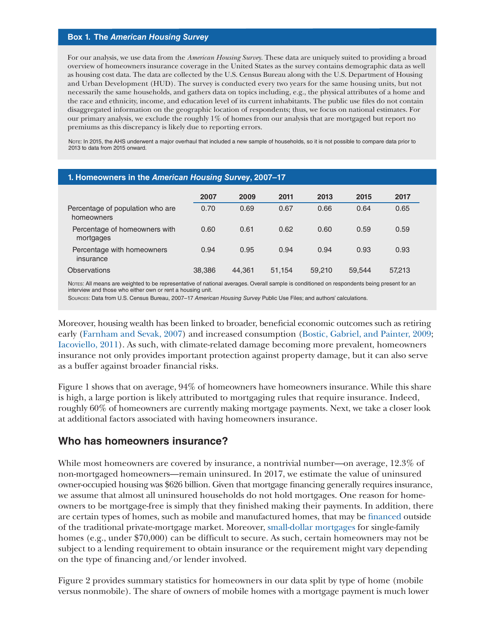#### **Box 1. The** *American Housing Survey*

For our analysis, we use data from the *American Housing Survey*. These data are uniquely suited to providing a broad overview of homeowners insurance coverage in the United States as the survey contains demographic data as well as housing cost data. The data are collected by the U.S. Census Bureau along with the U.S. Department of Housing and Urban Development (HUD). The survey is conducted every two years for the same housing units, but not necessarily the same households, and gathers data on topics including, e.g., the physical attributes of a home and the race and ethnicity, income, and education level of its current inhabitants. The public use files do not contain disaggregated information on the geographic location of respondents; thus, we focus on national estimates. For our primary analysis, we exclude the roughly 1% of homes from our analysis that are mortgaged but report no premiums as this discrepancy is likely due to reporting errors.

NOTE: In 2015, the AHS underwent a major overhaul that included a new sample of households, so it is not possible to compare data prior to 2013 to data from 2015 onward.

| 1. Homeowners in the American Housing Survey, 2007-17 |        |        |        |        |        |        |
|-------------------------------------------------------|--------|--------|--------|--------|--------|--------|
|                                                       | 2007   | 2009   | 2011   | 2013   | 2015   | 2017   |
| Percentage of population who are<br>homeowners        | 0.70   | 0.69   | 0.67   | 0.66   | 0.64   | 0.65   |
| Percentage of homeowners with<br>mortgages            | 0.60   | 0.61   | 0.62   | 0.60   | 0.59   | 0.59   |
| Percentage with homeowners<br>insurance               | 0.94   | 0.95   | 0.94   | 0.94   | 0.93   | 0.93   |
| Observations                                          | 38,386 | 44.361 | 51,154 | 59,210 | 59.544 | 57.213 |

Notes: All means are weighted to be representative of national averages. Overall sample is conditioned on respondents being present for an interview and those who either own or rent a housing unit.

Sources: Data from U.S. Census Bureau, 2007–17 *American Housing Survey* Public Use Files; and authors' calculations.

Moreover, housing wealth has been linked to broader, beneficial economic outcomes such as retiring early ([Farnham and Sevak, 2007\)](https://mrdrc.isr.umich.edu/publications/papers/pdf/wp172.pdf) and increased consumption [\(Bostic, Gabriel, and Painter, 2009;](https://econpapers.repec.org/article/eeeregeco/v_3a39_3ay_3a2009_3ai_3a1_3ap_3a79-89.htm) [Iacoviello, 2011](https://www.federalreserve.gov/pubs/ifdp/2011/1027/ifdp1027.pdf)). As such, with climate-related damage becoming more prevalent, homeowners insurance not only provides important protection against property damage, but it can also serve as a buffer against broader financial risks.

Figure 1 shows that on average, 94% of homeowners have homeowners insurance. While this share is high, a large portion is likely attributed to mortgaging rules that require insurance. Indeed, roughly 60% of homeowners are currently making mortgage payments. Next, we take a closer look at additional factors associated with having homeowners insurance.

## **Who has homeowners insurance?**

While most homeowners are covered by insurance, a nontrivial number—on average, 12.3% of non-mortgaged homeowners—remain uninsured. In 2017, we estimate the value of uninsured owner-occupied housing was \$626 billion. Given that mortgage financing generally requires insurance, we assume that almost all uninsured households do not hold mortgages. One reason for homeowners to be mortgage-free is simply that they finished making their payments. In addition, there are certain types of homes, such as mobile and manufactured homes, that may be [financed](https://www.hud.gov/program_offices/housing/sfh/title/repair) outside of the traditional private-mortgage market. Moreover, [small-dollar mortgages](https://www.urban.org/sites/default/files/publication/98261/small_dollar_mortgages_for_single_family_residential_properties_0.pdf) for single-family homes (e.g., under \$70,000) can be difficult to secure. As such, certain homeowners may not be subject to a lending requirement to obtain insurance or the requirement might vary depending on the type of financing and/or lender involved.

Figure 2 provides summary statistics for homeowners in our data split by type of home (mobile versus nonmobile). The share of owners of mobile homes with a mortgage payment is much lower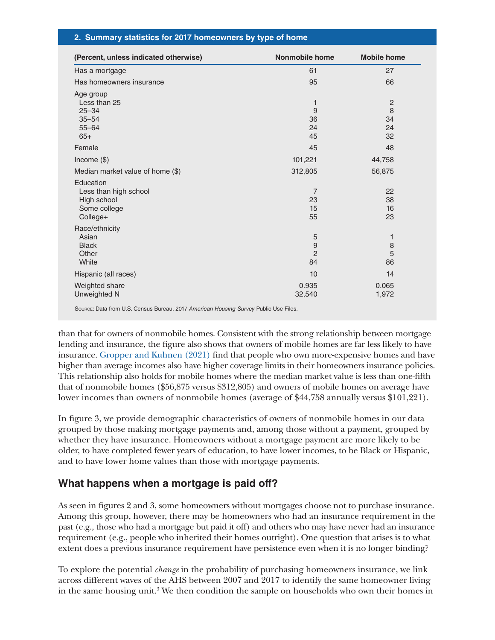## **2. Summary statistics for 2017 homeowners by type of home**

| 61<br>95<br>1<br>9<br>36<br>24<br>45          | 27<br>66<br>2<br>8<br>34<br>24<br>32                                                       |
|-----------------------------------------------|--------------------------------------------------------------------------------------------|
|                                               |                                                                                            |
|                                               |                                                                                            |
|                                               |                                                                                            |
|                                               | 48                                                                                         |
| 101,221                                       | 44,758                                                                                     |
| 312,805                                       | 56,875                                                                                     |
| $\overline{7}$<br>23<br>15<br>55              | 22<br>38<br>16<br>23                                                                       |
| 5<br>$\boldsymbol{9}$<br>$\overline{2}$<br>84 | 1<br>8<br>5<br>86                                                                          |
| 10                                            | 14                                                                                         |
| 0.935<br>32,540                               | 0.065<br>1,972                                                                             |
|                                               | 45<br>SOURCE: Data from U.S. Census Bureau, 2017 American Housing Survey Public Use Files. |

than that for owners of nonmobile homes. Consistent with the strong relationship between mortgage lending and insurance, the figure also shows that owners of mobile homes are far less likely to have insurance. [Gropper and Kuhnen \(2021\)](https://ideas.repec.org/p/nbr/nberwo/29069.html) find that people who own more-expensive homes and have higher than average incomes also have higher coverage limits in their homeowners insurance policies. This relationship also holds for mobile homes where the median market value is less than one-fifth that of nonmobile homes (\$56,875 versus \$312,805) and owners of mobile homes on average have lower incomes than owners of nonmobile homes (average of \$44,758 annually versus \$101,221).

In figure 3, we provide demographic characteristics of owners of nonmobile homes in our data grouped by those making mortgage payments and, among those without a payment, grouped by whether they have insurance. Homeowners without a mortgage payment are more likely to be older, to have completed fewer years of education, to have lower incomes, to be Black or Hispanic, and to have lower home values than those with mortgage payments.

## **What happens when a mortgage is paid off?**

As seen in figures 2 and 3, some homeowners without mortgages choose not to purchase insurance. Among this group, however, there may be homeowners who had an insurance requirement in the past (e.g., those who had a mortgage but paid it off) and others who may have never had an insurance requirement (e.g., people who inherited their homes outright). One question that arises is to what extent does a previous insurance requirement have persistence even when it is no longer binding?

To explore the potential *change* in the probability of purchasing homeowners insurance, we link across different waves of the AHS between 2007 and 2017 to identify the same homeowner living in the same housing unit.3 We then condition the sample on households who own their homes in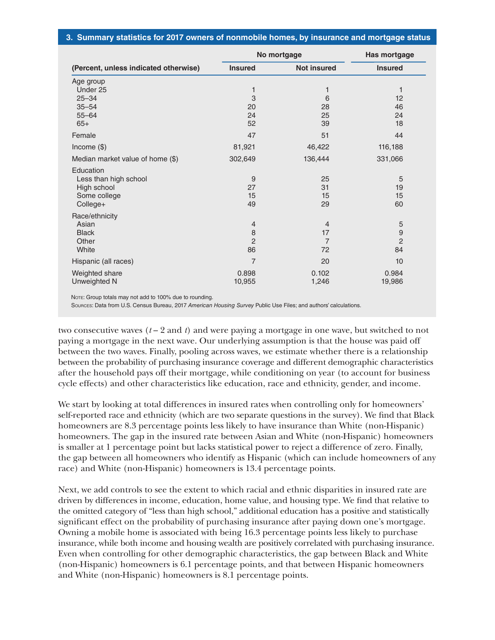## **3. Summary statistics for 2017 owners of nonmobile homes, by insurance and mortgage status**

|                                       | No mortgage    | Has mortgage       |                  |
|---------------------------------------|----------------|--------------------|------------------|
| (Percent, unless indicated otherwise) | <b>Insured</b> | <b>Not insured</b> | <b>Insured</b>   |
| Age group                             |                |                    |                  |
| Under 25                              | 1              | 1                  |                  |
| $25 - 34$                             | 3              | 6                  | 12               |
| $35 - 54$                             | 20             | 28                 | 46               |
| $55 - 64$                             | 24             | 25                 | 24               |
| $65+$                                 | 52             | 39                 | 18               |
| Female                                | 47             | 51                 | 44               |
| Income $(\$)$                         | 81,921         | 46,422             | 116,188          |
| Median market value of home (\$)      | 302,649        | 136,444            | 331,066          |
| Education                             |                |                    |                  |
| Less than high school                 | 9              | 25                 | 5                |
| High school                           | 27             | 31                 | 19               |
| Some college                          | 15             | 15                 | 15               |
| College+                              | 49             | 29                 | 60               |
| Race/ethnicity                        |                |                    |                  |
| Asian                                 | $\overline{4}$ | $\overline{4}$     | 5                |
| <b>Black</b>                          | 8              | 17                 | $\boldsymbol{9}$ |
| Other                                 | $\overline{2}$ | $\overline{7}$     | $\overline{2}$   |
| White                                 | 86             | 72                 | 84               |
| Hispanic (all races)                  | $\overline{7}$ | 20                 | 10               |
| Weighted share                        | 0.898          | 0.102              | 0.984            |
| Unweighted N                          | 10,955         | 1,246              | 19,986           |

NOTE: Group totals may not add to 100% due to rounding.

Sources: Data from U.S. Census Bureau, 2017 *American Housing Survey* Public Use Files; and authors' calculations.

two consecutive waves  $(t-2 \text{ and } t)$  and were paying a mortgage in one wave, but switched to not paying a mortgage in the next wave. Our underlying assumption is that the house was paid off between the two waves. Finally, pooling across waves, we estimate whether there is a relationship between the probability of purchasing insurance coverage and different demographic characteristics after the household pays off their mortgage, while conditioning on year (to account for business cycle effects) and other characteristics like education, race and ethnicity, gender, and income.

We start by looking at total differences in insured rates when controlling only for homeowners' self-reported race and ethnicity (which are two separate questions in the survey). We find that Black homeowners are 8.3 percentage points less likely to have insurance than White (non-Hispanic) homeowners. The gap in the insured rate between Asian and White (non-Hispanic) homeowners is smaller at 1 percentage point but lacks statistical power to reject a difference of zero. Finally, the gap between all homeowners who identify as Hispanic (which can include homeowners of any race) and White (non-Hispanic) homeowners is 13.4 percentage points.

Next, we add controls to see the extent to which racial and ethnic disparities in insured rate are driven by differences in income, education, home value, and housing type. We find that relative to the omitted category of "less than high school," additional education has a positive and statistically significant effect on the probability of purchasing insurance after paying down one's mortgage. Owning a mobile home is associated with being 16.3 percentage points less likely to purchase insurance, while both income and housing wealth are positively correlated with purchasing insurance. Even when controlling for other demographic characteristics, the gap between Black and White (non-Hispanic) homeowners is 6.1 percentage points, and that between Hispanic homeowners and White (non-Hispanic) homeowners is 8.1 percentage points.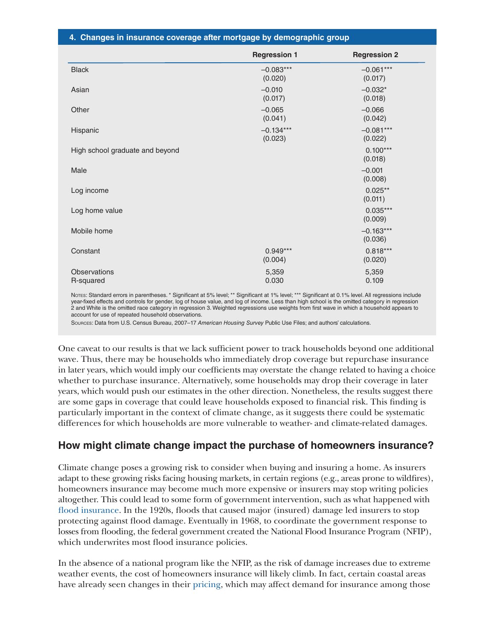|  |  |  | 4. Changes in insurance coverage after mortgage by demographic group |  |  |  |
|--|--|--|----------------------------------------------------------------------|--|--|--|
|--|--|--|----------------------------------------------------------------------|--|--|--|

|                                 | <b>Regression 1</b>    | <b>Regression 2</b>    |
|---------------------------------|------------------------|------------------------|
| <b>Black</b>                    | $-0.083***$<br>(0.020) | $-0.061***$<br>(0.017) |
| Asian                           | $-0.010$<br>(0.017)    | $-0.032*$<br>(0.018)   |
| Other                           | $-0.065$<br>(0.041)    | $-0.066$<br>(0.042)    |
| Hispanic                        | $-0.134***$<br>(0.023) | $-0.081***$<br>(0.022) |
| High school graduate and beyond |                        | $0.100***$<br>(0.018)  |
| Male                            |                        | $-0.001$<br>(0.008)    |
| Log income                      |                        | $0.025**$<br>(0.011)   |
| Log home value                  |                        | $0.035***$<br>(0.009)  |
| Mobile home                     |                        | $-0.163***$<br>(0.036) |
| Constant                        | $0.949***$<br>(0.004)  | $0.818***$<br>(0.020)  |
| Observations<br>R-squared       | 5,359<br>0.030         | 5,359<br>0.109         |

Notes: Standard errors in parentheses. \* Significant at 5% level; \*\* Significant at 1% level; \*\*\* Significant at 0.1% level. All regressions include year-fixed effects and controls for gender, log of house value, and log of income. Less than high school is the omitted category in regression 2 and White is the omitted race category in regression 3. Weighted regressions use weights from first wave in which a household appears to account for use of repeated household observations.

Sources: Data from U.S. Census Bureau, 2007–17 *American Housing Survey* Public Use Files; and authors' calculations.

One caveat to our results is that we lack sufficient power to track households beyond one additional wave. Thus, there may be households who immediately drop coverage but repurchase insurance in later years, which would imply our coefficients may overstate the change related to having a choice whether to purchase insurance. Alternatively, some households may drop their coverage in later years, which would push our estimates in the other direction. Nonetheless, the results suggest there are some gaps in coverage that could leave households exposed to financial risk. This finding is particularly important in the context of climate change, as it suggests there could be systematic differences for which households are more vulnerable to weather- and climate-related damages.

## **How might climate change impact the purchase of homeowners insurance?**

Climate change poses a growing risk to consider when buying and insuring a home. As insurers adapt to these growing risks facing housing markets, in certain regions (e.g., areas prone to wildfires), homeowners insurance may become much more expensive or insurers may stop writing policies altogether. This could lead to some form of government intervention, such as what happened with [flood insurance](https://doi.org/10.21033/cfl-2019-409). In the 1920s, floods that caused major (insured) damage led insurers to stop protecting against flood damage. Eventually in 1968, to coordinate the government response to losses from flooding, the federal government created the National Flood Insurance Program (NFIP), which underwrites most flood insurance policies.

In the absence of a national program like the NFIP, as the risk of damage increases due to extreme weather events, the cost of homeowners insurance will likely climb. In fact, certain coastal areas have already seen changes in their [pricing](https://consumerfed.org/press_release/california-homeowners-insurance-legislation-will-raise-premiums-by-40-across-the-state/), which may affect demand for insurance among those